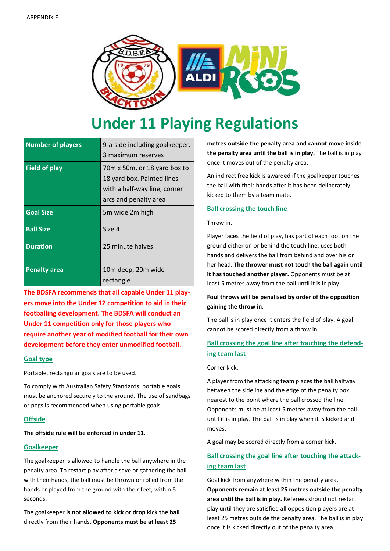

# **Under 11 Playing Regulations**

| <b>Number of players</b> | 9-a-side including goalkeeper.<br>3 maximum reserves                                                                |
|--------------------------|---------------------------------------------------------------------------------------------------------------------|
| <b>Field of play</b>     | 70m x 50m, or 18 yard box to<br>18 yard box. Painted lines<br>with a half-way line, corner<br>arcs and penalty area |
| <b>Goal Size</b>         | 5m wide 2m high                                                                                                     |
| <b>Ball Size</b>         | Size 4                                                                                                              |
| <b>Duration</b>          | 25 minute halves                                                                                                    |
| <b>Penalty area</b>      | 10m deep, 20m wide<br>rectangle                                                                                     |

**The BDSFA recommends that all capable Under 11 players move into the Under 12 competition to aid in their footballing development. The BDSFA will conduct an Under 11 competition only for those players who require another year of modified football for their own development before they enter unmodified football.**

## **Goal type**

Portable, rectangular goals are to be used.

To comply with Australian Safety Standards, portable goals must be anchored securely to the ground. The use of sandbags or pegs is recommended when using portable goals.

## **Offside**

## **The offside rule will be enforced in under 11.**

## **Goalkeeper**

The goalkeeper is allowed to handle the ball anywhere in the penalty area. To restart play after a save or gathering the ball with their hands, the ball must be thrown or rolled from the hands or played from the ground with their feet, within 6 seconds.

The goalkeeper **is not allowed to kick or drop kick the ball** directly from their hands. **Opponents must be at least 25**

**metres outside the penalty area and cannot move inside the penalty area until the ball is in play.** The ball is in play once it moves out of the penalty area.

An indirect free kick is awarded if the goalkeeper touches the ball with their hands after it has been deliberately kicked to them by a team mate.

## **Ball crossing the touch line**

#### Throw in.

Player faces the field of play, has part of each foot on the ground either on or behind the touch line, uses both hands and delivers the ball from behind and over his or her head. **The thrower must not touch the ball again until it has touched another player.** Opponents must be at least 5 metres away from the ball until it is in play.

## **Foul throws will be penalised by order of the opposition gaining the throw in**.

The ball is in play once it enters the field of play. A goal cannot be scored directly from a throw in.

# **Ball crossing the goal line after touching the defending team last**

#### Corner kick.

A player from the attacking team places the ball halfway between the sideline and the edge of the penalty box nearest to the point where the ball crossed the line. Opponents must be at least 5 metres away from the ball until it is in play. The ball is in play when it is kicked and moves.

A goal may be scored directly from a corner kick.

# **Ball crossing the goal line after touching the attacking team last**

Goal kick from anywhere within the penalty area. **Opponents remain at least 25 metres outside the penalty area until the ball is in play.** Referees should not restart play until they are satisfied all opposition players are at least 25 metres outside the penalty area. The ball is in play once it is kicked directly out of the penalty area.